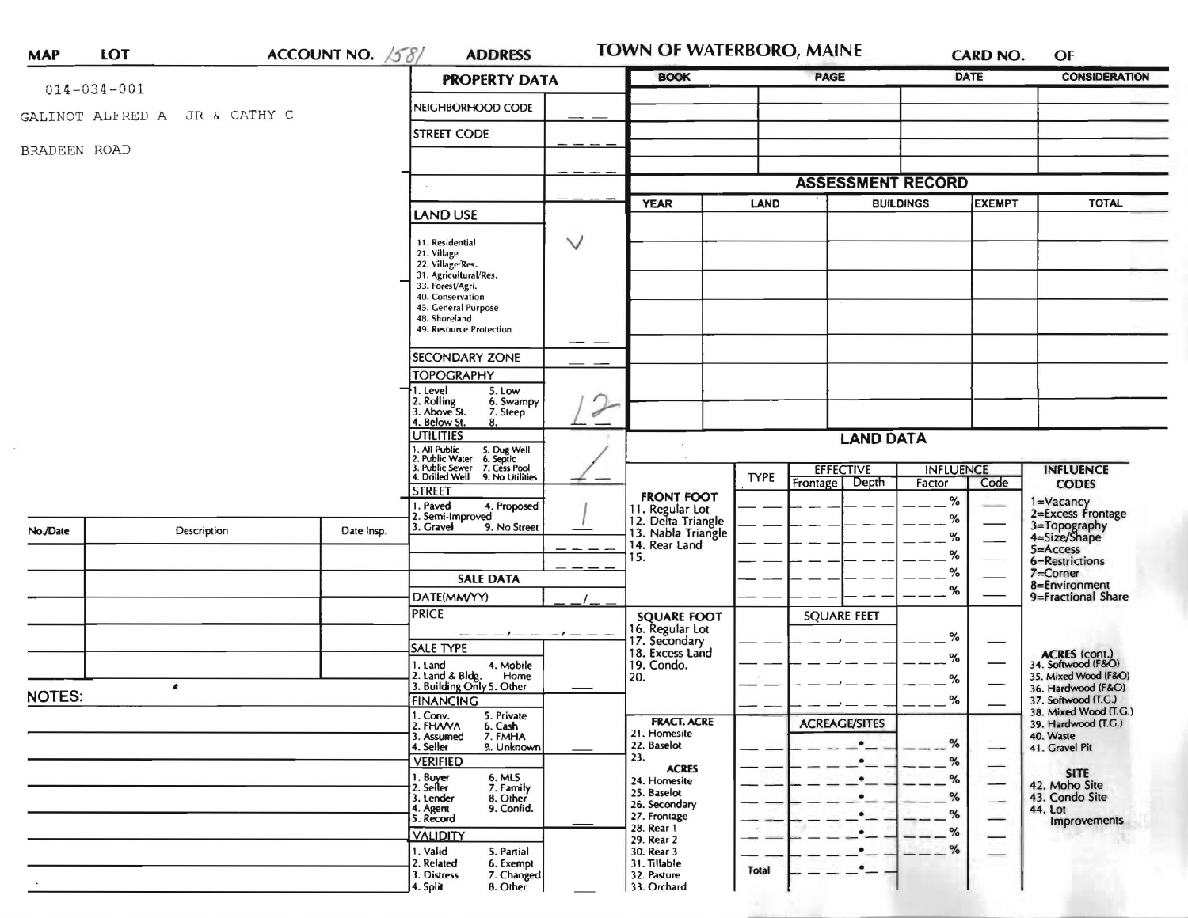|               | ACCOUNT NO. $58/$<br><b>LOT</b><br><b>MAP</b> |                               |            | <b>ADDRESS</b>                                                                                  |        | TOWN OF WATERBORO, MAINE<br><b>BOOK</b>                     |                  | <b>PAGE</b>                | <b>CARD NO.</b><br><b>DATE</b> |                          | OF<br><b>CONSIDERATION</b>                                         |
|---------------|-----------------------------------------------|-------------------------------|------------|-------------------------------------------------------------------------------------------------|--------|-------------------------------------------------------------|------------------|----------------------------|--------------------------------|--------------------------|--------------------------------------------------------------------|
|               | $014 - 034 - 001$                             |                               |            | <b>PROPERTY DATA</b>                                                                            |        |                                                             |                  |                            |                                |                          |                                                                    |
|               |                                               | GALINOT ALFRED A JR & CATHY C |            | NEIGHBORHOOD CODE                                                                               |        |                                                             |                  |                            |                                |                          |                                                                    |
|               |                                               |                               |            | <b>STREET CODE</b>                                                                              |        |                                                             |                  |                            |                                |                          |                                                                    |
| BRADEEN ROAD  |                                               |                               |            |                                                                                                 |        |                                                             |                  |                            |                                |                          |                                                                    |
|               |                                               |                               |            |                                                                                                 |        |                                                             |                  | <b>ASSESSMENT RECORD</b>   |                                |                          |                                                                    |
|               |                                               |                               |            |                                                                                                 |        | <b>YEAR</b><br><b>LAND</b><br><b>BUILDINGS</b>              |                  | <b>EXEMPT</b>              |                                | <b>TOTAL</b>             |                                                                    |
|               |                                               |                               |            | LAND USE                                                                                        |        |                                                             |                  |                            |                                |                          |                                                                    |
|               |                                               |                               |            | 11. Residential                                                                                 | $\vee$ |                                                             |                  |                            |                                |                          |                                                                    |
|               |                                               |                               |            | 21. Village<br>22. Village/Res.                                                                 |        |                                                             |                  |                            |                                |                          |                                                                    |
|               |                                               |                               |            | 31. Agricultural/Res.<br>33. Forest/Agri.                                                       |        |                                                             |                  |                            |                                |                          |                                                                    |
|               |                                               |                               |            | 40. Conservation<br>45. General Purpose                                                         |        |                                                             |                  |                            |                                |                          |                                                                    |
|               |                                               |                               |            | 48. Shoreland                                                                                   |        |                                                             |                  |                            |                                |                          |                                                                    |
|               |                                               |                               |            | 49. Resource Protection                                                                         |        |                                                             |                  |                            |                                |                          |                                                                    |
|               |                                               |                               |            | SECONDARY ZONE                                                                                  |        |                                                             |                  |                            |                                |                          |                                                                    |
|               |                                               |                               |            | <b>TOPOGRAPHY</b><br>5. Low                                                                     |        |                                                             |                  |                            |                                |                          |                                                                    |
|               |                                               |                               |            | 1. Level<br>2. Rolling<br>3. Above St.<br>6. Swampy                                             |        |                                                             |                  |                            |                                |                          |                                                                    |
|               |                                               |                               |            | 7. Steep<br>4. Below St.<br>8.                                                                  | Í      |                                                             |                  |                            |                                |                          |                                                                    |
|               |                                               |                               |            | <b>UTILITIES</b>                                                                                |        |                                                             | <b>LAND DATA</b> |                            |                                |                          |                                                                    |
|               |                                               |                               |            | 1. All Public<br>2. Public Water<br>5. Dug Well<br>6. Septic<br>7. Cess Pool<br>3. Public Sewer |        |                                                             |                  | <b>EFFECTIVE</b>           | <b>INFLUENCE</b>               |                          | <b>INFLUENCE</b>                                                   |
|               |                                               |                               |            | 4. Drilled Well<br>9. No Utilities<br><b>STREET</b>                                             |        |                                                             | <b>TYPE</b>      | Depth<br>Frontage          | Factor                         | Code                     | <b>CODES</b>                                                       |
|               |                                               |                               |            | 1. Paved<br>4. Proposed                                                                         |        | <b>FRONT FOOT</b>                                           |                  |                            | $\%$                           |                          | 1=Vacancy<br>2=Excess Frontage                                     |
| No./Date      |                                               | Description                   | Date Insp. | 2. Semi-Improved<br>3. Gravel<br>9. No Street                                                   |        | 11. Regular Lot<br>12. Delta Triangle<br>13. Nabla Triangle |                  |                            | $\%$                           |                          | 3=Topography<br>4=Size/Shape                                       |
|               |                                               |                               |            |                                                                                                 |        | 14. Rear Land                                               |                  |                            | %                              |                          | $5 =$ Access                                                       |
|               |                                               |                               |            |                                                                                                 |        | 15.                                                         |                  |                            | %<br>%                         |                          | 6=Restrictions<br>$7 =$ Corner                                     |
|               |                                               |                               |            | <b>SALE DATA</b>                                                                                |        |                                                             |                  |                            | %                              |                          | 8=Environment                                                      |
|               |                                               |                               |            | DATE(MM/YY)<br><b>PRICE</b>                                                                     |        |                                                             |                  | <b>SQUARE FEET</b>         |                                |                          | 9=Fractional Share                                                 |
|               |                                               |                               |            | $--- - - - - - - - - - - - -$                                                                   |        | <b>SQUARE FOOT</b><br>16. Regular Lot                       |                  |                            |                                |                          |                                                                    |
|               |                                               |                               |            | <b>SALE TYPE</b>                                                                                |        | 17. Secondary<br>18. Excess Land                            |                  |                            | %                              |                          |                                                                    |
|               |                                               |                               |            | 1. Land<br>4. Mobile<br>2. Land & Bldg.<br>Home                                                 |        | 19. Condo.                                                  |                  |                            | %                              |                          | <b>ACRES</b> (cont.)<br>34. Softwood (F&O)<br>35, Mixed Wood (F&O) |
|               |                                               | $\bullet$                     |            | 3. Building Only 5. Other                                                                       |        | 20.                                                         |                  |                            | %                              |                          | 36. Hardwood (F&O)                                                 |
| <b>NOTES:</b> |                                               |                               |            | <b>FINANCING</b><br>1. Conv.<br>5. Private                                                      |        |                                                             |                  |                            | $\%$                           |                          | 37. Softwood (T.C.)<br>38. Mixed Wood (T.G.)                       |
|               |                                               |                               |            | 2. FHANA<br>6. Cash<br>7. FMHA<br>3. Assumed                                                    |        | <b>FRACT. ACRE</b><br>21. Homesite                          |                  | <b>ACREAGE/SITES</b>       |                                |                          | 39. Hardwood (T.G.)<br>40. Waste                                   |
|               |                                               |                               |            | 9. Unknown<br>4. Seller                                                                         |        | 22. Baselot                                                 |                  | $\bullet$                  | $\%$                           |                          | 41. Gravel Pit                                                     |
|               |                                               |                               |            | <b>VERIFIED</b><br>6. MLS                                                                       |        | 23.<br><b>ACRES</b>                                         |                  | $\bullet$                  | %                              | $\overline{\phantom{0}}$ | <b>SITE</b>                                                        |
|               |                                               |                               |            | 1. Buyer<br>2. Seller<br>7. Family                                                              |        | 24. Homesite<br>25. Baselot                                 |                  | $\bullet$                  | %<br>%                         | $\qquad \qquad -$        | 42. Moho Site<br>43. Condo Site                                    |
|               |                                               |                               |            | 8. Other<br>3. Lender<br>4. Agent<br>9. Confid.                                                 |        | 26. Secondary<br>27. Frontage                               |                  | $\bullet$ —<br>$\bullet$ — | %                              | —                        | 44. Lot                                                            |
|               |                                               |                               |            | 5. Record<br><b>VALIDITY</b>                                                                    |        | 28. Rear 1                                                  |                  | $\cdot_-$                  | %                              | -                        | Improvements                                                       |
|               |                                               |                               |            | 1. Valid<br>5. Partial                                                                          |        | 29. Rear 2<br>30. Rear 3                                    |                  | $\bullet$                  | %                              |                          |                                                                    |
|               |                                               |                               |            | 2. Related<br>6. Exempt<br>7. Changed<br>3. Distress                                            |        | 31. Tillable<br>32. Pasture                                 | <b>Total</b>     | $\bullet-$                 |                                |                          |                                                                    |
|               |                                               |                               |            | 8. Other<br>4. Split                                                                            |        | 33. Orchard                                                 |                  |                            |                                |                          |                                                                    |